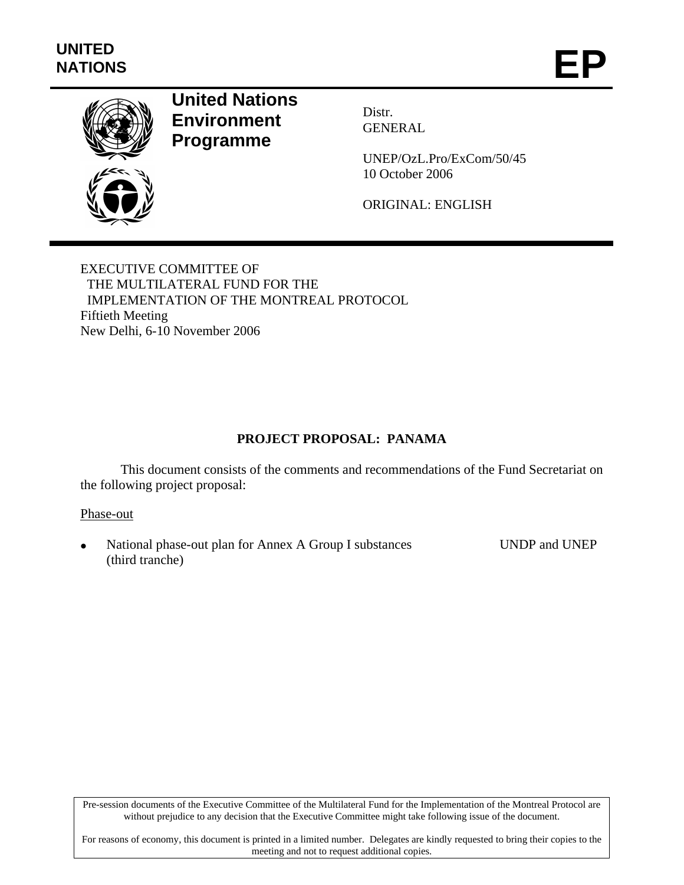

## **United Nations Environment Programme**

Distr. GENERAL

UNEP/OzL.Pro/ExCom/50/45 10 October 2006

ORIGINAL: ENGLISH

EXECUTIVE COMMITTEE OF THE MULTILATERAL FUND FOR THE IMPLEMENTATION OF THE MONTREAL PROTOCOL Fiftieth Meeting New Delhi, 6-10 November 2006

## **PROJECT PROPOSAL: PANAMA**

This document consists of the comments and recommendations of the Fund Secretariat on the following project proposal:

## Phase-out

• National phase-out plan for Annex A Group I substances (third tranche) UNDP and UNEP

Pre-session documents of the Executive Committee of the Multilateral Fund for the Implementation of the Montreal Protocol are without prejudice to any decision that the Executive Committee might take following issue of the document.

For reasons of economy, this document is printed in a limited number. Delegates are kindly requested to bring their copies to the meeting and not to request additional copies.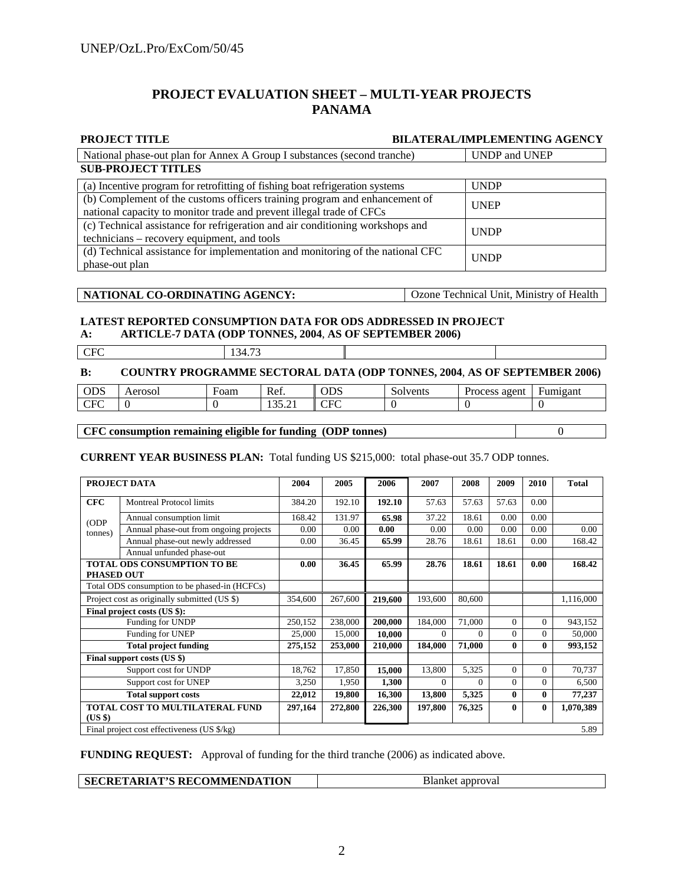## **PROJECT EVALUATION SHEET – MULTI-YEAR PROJECTS PANAMA**

| <b>PROJECT TITLE</b>                                                                                                                               | <b>BILATERAL/IMPLEMENTING AGENCY</b>     |
|----------------------------------------------------------------------------------------------------------------------------------------------------|------------------------------------------|
| National phase-out plan for Annex A Group I substances (second tranche)                                                                            | <b>UNDP</b> and <b>UNEP</b>              |
| <b>SUB-PROJECT TITLES</b>                                                                                                                          |                                          |
| (a) Incentive program for retrofitting of fishing boat refrigeration systems                                                                       | <b>UNDP</b>                              |
| (b) Complement of the customs officers training program and enhancement of<br>national capacity to monitor trade and prevent illegal trade of CFCs | <b>UNEP</b>                              |
| (c) Technical assistance for refrigeration and air conditioning workshops and<br>technicians – recovery equipment, and tools                       | <b>UNDP</b>                              |
| (d) Technical assistance for implementation and monitoring of the national CFC<br>phase-out plan                                                   | <b>UNDP</b>                              |
|                                                                                                                                                    |                                          |
| NATIONAL CO-ORDINATING AGENCY:                                                                                                                     | Ozone Technical Unit, Ministry of Health |
| <b>LATEST REPORTED CONSUMPTION DATA FOR ODS ADDRESSED IN PROJECT</b><br>A DTICLE 7 DATA (ODD TONNES 2004 AS OF SEDTEMBED 2006)<br>Λ.               |                                          |

# **A: ARTICLE-7 DATA (ODP TONNES, 2004**, **AS OF SEPTEMBER 2006)**

| $ -$ | ______ |  |
|------|--------|--|
|      |        |  |

#### **B: COUNTRY PROGRAMME SECTORAL DATA (ODP TONNES, 2004**, **AS OF SEPTEMBER 2006)**

| $\Gamma$<br>$\Gamma$<br>$\sim$ $\sim$<br>$\sim$ $\sim$<br>-<br>$\sim$<br>╰<br>◡<br>------- | $\cap$<br>טעט | Aerosol | Foam | Ref. | <b>ODS</b> | Solvents | agent<br>rocess<br><b>Last</b> | $\overline{\phantom{a}}$<br>Fumigant |
|--------------------------------------------------------------------------------------------|---------------|---------|------|------|------------|----------|--------------------------------|--------------------------------------|
|                                                                                            |               |         |      |      |            |          |                                |                                      |

### **CFC consumption remaining eligible for funding (ODP tonnes)** 0

#### **CURRENT YEAR BUSINESS PLAN:** Total funding US \$215,000: total phase-out 35.7 ODP tonnes.

| PROJECT DATA                                |                                               | 2004    | 2005    | 2006    | 2007     | 2008     | 2009         | 2010           | <b>Total</b> |
|---------------------------------------------|-----------------------------------------------|---------|---------|---------|----------|----------|--------------|----------------|--------------|
| <b>CFC</b>                                  | <b>Montreal Protocol limits</b>               | 384.20  | 192.10  | 192.10  | 57.63    | 57.63    | 57.63        | 0.00           |              |
| (ODP)                                       | Annual consumption limit                      | 168.42  | 131.97  | 65.98   | 37.22    | 18.61    | 0.00         | 0.00           |              |
| tonnes)                                     | Annual phase-out from ongoing projects        | 0.00    | 0.00    | 0.00    | 0.00     | 0.00     | 0.00         | 0.00           | 0.00         |
|                                             | Annual phase-out newly addressed              | 0.00    | 36.45   | 65.99   | 28.76    | 18.61    | 18.61        | 0.00           | 168.42       |
|                                             | Annual unfunded phase-out                     |         |         |         |          |          |              |                |              |
|                                             | <b>TOTAL ODS CONSUMPTION TO BE</b>            | 0.00    | 36.45   | 65.99   | 28.76    | 18.61    | 18.61        | 0.00           | 168.42       |
| <b>PHASED OUT</b>                           |                                               |         |         |         |          |          |              |                |              |
|                                             | Total ODS consumption to be phased-in (HCFCs) |         |         |         |          |          |              |                |              |
|                                             | Project cost as originally submitted (US \$)  | 354,600 | 267,600 | 219,600 | 193,600  | 80,600   |              |                | 1,116,000    |
|                                             | Final project costs (US \$):                  |         |         |         |          |          |              |                |              |
|                                             | Funding for UNDP                              | 250,152 | 238,000 | 200,000 | 184,000  | 71,000   | $\Omega$     | $\overline{0}$ | 943,152      |
|                                             | Funding for UNEP                              | 25,000  | 15,000  | 10,000  | 0        | $\Omega$ | $\Omega$     | 0              | 50,000       |
|                                             | <b>Total project funding</b>                  | 275,152 | 253,000 | 210,000 | 184,000  | 71,000   | 0            | 0              | 993,152      |
|                                             | Final support costs (US \$)                   |         |         |         |          |          |              |                |              |
|                                             | Support cost for UNDP                         | 18,762  | 17,850  | 15,000  | 13,800   | 5,325    | $\Omega$     | $\theta$       | 70,737       |
|                                             | Support cost for UNEP                         | 3,250   | 1,950   | 1,300   | $\Omega$ | $\Omega$ | $\Omega$     | $\Omega$       | 6,500        |
| <b>Total support costs</b>                  |                                               | 22,012  | 19,800  | 16,300  | 13,800   | 5,325    | $\mathbf{0}$ | 0              | 77,237       |
| (USS)                                       | TOTAL COST TO MULTILATERAL FUND               | 297,164 | 272,800 | 226,300 | 197,800  | 76,325   | $\mathbf{0}$ | $\bf{0}$       | 1,070,389    |
| Final project cost effectiveness (US \$/kg) |                                               |         |         |         |          | 5.89     |              |                |              |

**FUNDING REQUEST:** Approval of funding for the third tranche (2006) as indicated above.

| <b>SECRETARIAT'S RECOMMENDATION</b> | Blanket approval |
|-------------------------------------|------------------|
|-------------------------------------|------------------|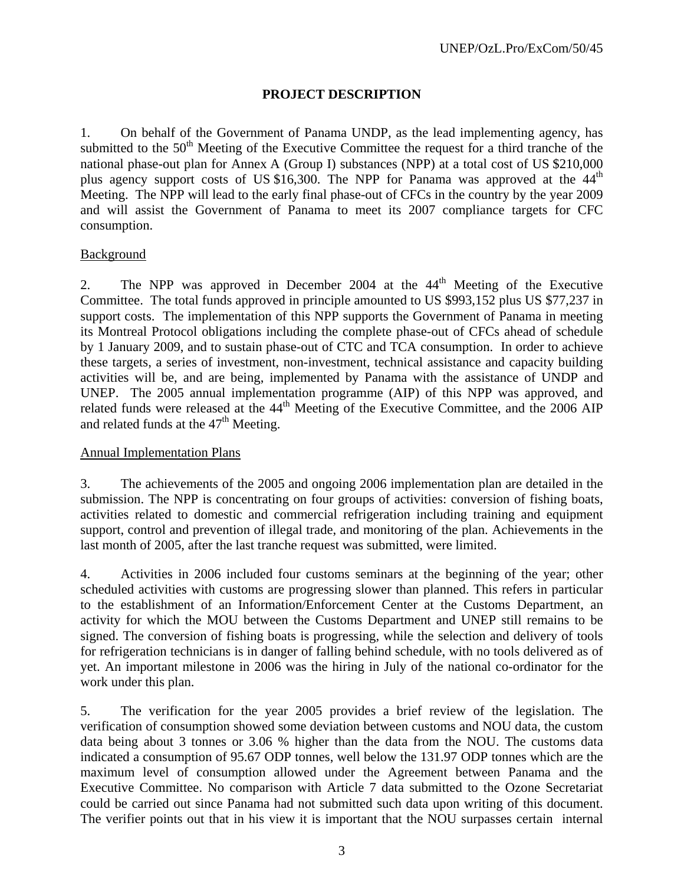## **PROJECT DESCRIPTION**

1. On behalf of the Government of Panama UNDP, as the lead implementing agency, has submitted to the 50<sup>th</sup> Meeting of the Executive Committee the request for a third tranche of the national phase-out plan for Annex A (Group I) substances (NPP) at a total cost of US \$210,000 plus agency support costs of US \$16,300. The NPP for Panama was approved at the  $44<sup>th</sup>$ Meeting. The NPP will lead to the early final phase-out of CFCs in the country by the year 2009 and will assist the Government of Panama to meet its 2007 compliance targets for CFC consumption.

## **Background**

2. The NPP was approved in December 2004 at the 44<sup>th</sup> Meeting of the Executive Committee. The total funds approved in principle amounted to US \$993,152 plus US \$77,237 in support costs. The implementation of this NPP supports the Government of Panama in meeting its Montreal Protocol obligations including the complete phase-out of CFCs ahead of schedule by 1 January 2009, and to sustain phase-out of CTC and TCA consumption. In order to achieve these targets, a series of investment, non-investment, technical assistance and capacity building activities will be, and are being, implemented by Panama with the assistance of UNDP and UNEP. The 2005 annual implementation programme (AIP) of this NPP was approved, and related funds were released at the  $44<sup>th</sup>$  Meeting of the Executive Committee, and the 2006 AIP and related funds at the  $47<sup>th</sup>$  Meeting.

## Annual Implementation Plans

3. The achievements of the 2005 and ongoing 2006 implementation plan are detailed in the submission. The NPP is concentrating on four groups of activities: conversion of fishing boats, activities related to domestic and commercial refrigeration including training and equipment support, control and prevention of illegal trade, and monitoring of the plan. Achievements in the last month of 2005, after the last tranche request was submitted, were limited.

4. Activities in 2006 included four customs seminars at the beginning of the year; other scheduled activities with customs are progressing slower than planned. This refers in particular to the establishment of an Information/Enforcement Center at the Customs Department, an activity for which the MOU between the Customs Department and UNEP still remains to be signed. The conversion of fishing boats is progressing, while the selection and delivery of tools for refrigeration technicians is in danger of falling behind schedule, with no tools delivered as of yet. An important milestone in 2006 was the hiring in July of the national co-ordinator for the work under this plan.

5. The verification for the year 2005 provides a brief review of the legislation. The verification of consumption showed some deviation between customs and NOU data, the custom data being about 3 tonnes or 3.06 % higher than the data from the NOU. The customs data indicated a consumption of 95.67 ODP tonnes, well below the 131.97 ODP tonnes which are the maximum level of consumption allowed under the Agreement between Panama and the Executive Committee. No comparison with Article 7 data submitted to the Ozone Secretariat could be carried out since Panama had not submitted such data upon writing of this document. The verifier points out that in his view it is important that the NOU surpasses certain internal